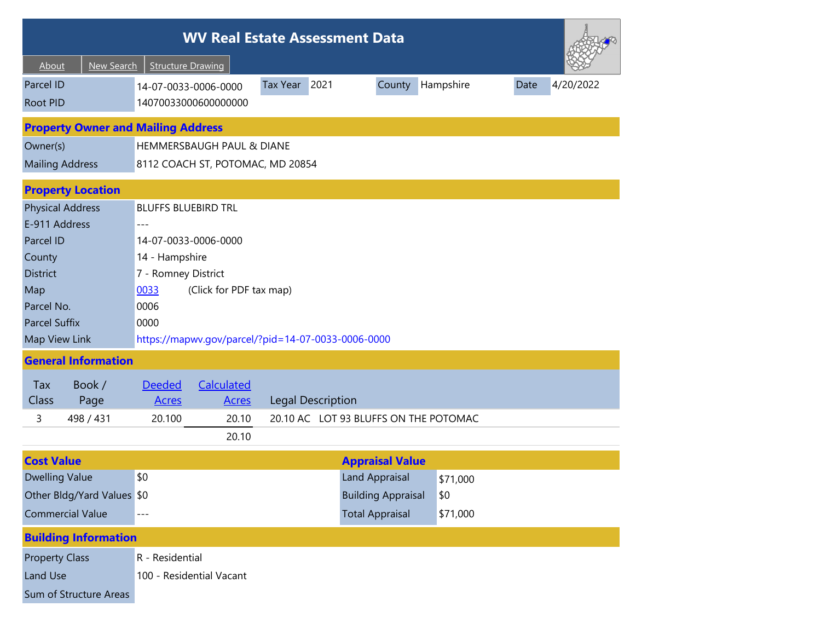| <b>WV Real Estate Assessment Data</b>     |                                                                                                           |  |  |  |  |  |  |  |  |
|-------------------------------------------|-----------------------------------------------------------------------------------------------------------|--|--|--|--|--|--|--|--|
| <b>New Search</b><br>About                | <b>Structure Drawing</b>                                                                                  |  |  |  |  |  |  |  |  |
| Parcel ID<br><b>Root PID</b>              | Tax Year 2021<br>Hampshire<br>4/20/2022<br>County<br>Date<br>14-07-0033-0006-0000<br>14070033000600000000 |  |  |  |  |  |  |  |  |
| <b>Property Owner and Mailing Address</b> |                                                                                                           |  |  |  |  |  |  |  |  |
| Owner(s)                                  | HEMMERSBAUGH PAUL & DIANE                                                                                 |  |  |  |  |  |  |  |  |
| <b>Mailing Address</b>                    | 8112 COACH ST, POTOMAC, MD 20854                                                                          |  |  |  |  |  |  |  |  |
| <b>Property Location</b>                  |                                                                                                           |  |  |  |  |  |  |  |  |
| <b>Physical Address</b>                   | <b>BLUFFS BLUEBIRD TRL</b>                                                                                |  |  |  |  |  |  |  |  |
| E-911 Address                             |                                                                                                           |  |  |  |  |  |  |  |  |
| Parcel ID                                 | 14-07-0033-0006-0000                                                                                      |  |  |  |  |  |  |  |  |
| County                                    | 14 - Hampshire                                                                                            |  |  |  |  |  |  |  |  |
| <b>District</b>                           | 7 - Romney District                                                                                       |  |  |  |  |  |  |  |  |
| Map                                       | 0033<br>(Click for PDF tax map)                                                                           |  |  |  |  |  |  |  |  |
| Parcel No.                                | 0006                                                                                                      |  |  |  |  |  |  |  |  |
| <b>Parcel Suffix</b>                      | 0000                                                                                                      |  |  |  |  |  |  |  |  |
| Map View Link                             | https://mapwv.gov/parcel/?pid=14-07-0033-0006-0000                                                        |  |  |  |  |  |  |  |  |
| <b>General Information</b>                |                                                                                                           |  |  |  |  |  |  |  |  |
| Tax<br>Book /                             | Calculated<br><b>Deeded</b>                                                                               |  |  |  |  |  |  |  |  |
| Class<br>Page                             | <b>Legal Description</b><br><b>Acres</b><br><b>Acres</b>                                                  |  |  |  |  |  |  |  |  |
| 3<br>498 / 431                            | 20.10 AC LOT 93 BLUFFS ON THE POTOMAC<br>20.100<br>20.10                                                  |  |  |  |  |  |  |  |  |
|                                           | 20.10                                                                                                     |  |  |  |  |  |  |  |  |
| <b>Cost Value</b>                         | <b>Appraisal Value</b>                                                                                    |  |  |  |  |  |  |  |  |
| <b>Dwelling Value</b>                     | \$0<br><b>Land Appraisal</b><br>\$71,000                                                                  |  |  |  |  |  |  |  |  |
| Other Bldg/Yard Values \$0                | <b>Building Appraisal</b><br>\$0                                                                          |  |  |  |  |  |  |  |  |
| <b>Commercial Value</b>                   | <b>Total Appraisal</b><br>\$71,000                                                                        |  |  |  |  |  |  |  |  |
| <b>Building Information</b>               |                                                                                                           |  |  |  |  |  |  |  |  |
| <b>Property Class</b>                     | R - Residential                                                                                           |  |  |  |  |  |  |  |  |
| Land Use                                  | 100 - Residential Vacant                                                                                  |  |  |  |  |  |  |  |  |
| Sum of Structure Areas                    |                                                                                                           |  |  |  |  |  |  |  |  |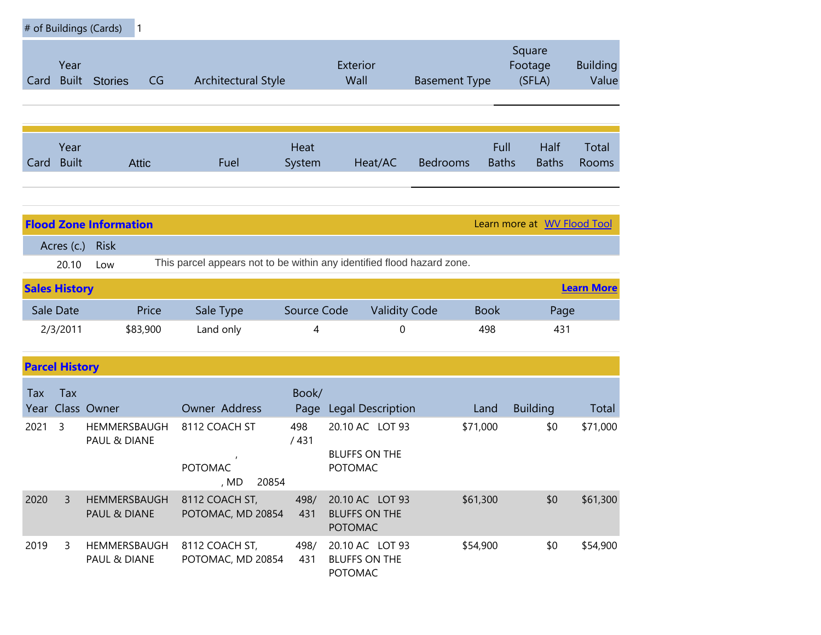| # of Buildings (Cards)<br>$\mathbf{1}$ |                      |                                         |                                                                        |             |                                                           |                      |              |                             |                          |
|----------------------------------------|----------------------|-----------------------------------------|------------------------------------------------------------------------|-------------|-----------------------------------------------------------|----------------------|--------------|-----------------------------|--------------------------|
| Card                                   | Year<br><b>Built</b> | <b>Stories</b><br>CG                    | <b>Architectural Style</b>                                             |             | Exterior<br>Wall                                          | <b>Basement Type</b> |              | Square<br>Footage<br>(SFLA) | <b>Building</b><br>Value |
|                                        | Year                 |                                         |                                                                        | Heat        |                                                           |                      | Full         | Half                        | Total                    |
| Card                                   | <b>Built</b>         | <b>Attic</b>                            | Fuel                                                                   | System      | Heat/AC                                                   | <b>Bedrooms</b>      | <b>Baths</b> | <b>Baths</b>                | Rooms                    |
|                                        |                      |                                         |                                                                        |             |                                                           |                      |              |                             |                          |
|                                        |                      | <b>Flood Zone Information</b>           |                                                                        |             |                                                           |                      |              | Learn more at WV Flood Tool |                          |
|                                        | Acres (c.)<br>20.10  | <b>Risk</b><br>Low                      | This parcel appears not to be within any identified flood hazard zone. |             |                                                           |                      |              |                             |                          |
| <b>Sales History</b>                   |                      |                                         |                                                                        |             |                                                           |                      |              |                             | <b>Learn More</b>        |
|                                        | Sale Date            | Price                                   | Sale Type                                                              | Source Code | <b>Validity Code</b>                                      |                      | <b>Book</b>  | Page                        |                          |
|                                        | 2/3/2011             | \$83,900                                | Land only                                                              | 4           | 0                                                         |                      | 498          | 431                         |                          |
| <b>Parcel History</b>                  |                      |                                         |                                                                        |             |                                                           |                      |              |                             |                          |
| Tax<br>Year                            | Tax                  | Class Owner                             | Owner Address                                                          | Book/       | Page Legal Description                                    |                      | Land         | <b>Building</b>             | Total                    |
| 2021                                   | 3                    | HEMMERSBAUGH<br><b>PAUL &amp; DIANE</b> | 8112 COACH ST<br><b>POTOMAC</b><br>20854<br>, MD                       | 498<br>/431 | 20.10 AC LOT 93<br><b>BLUFFS ON THE</b><br><b>POTOMAC</b> |                      | \$71,000     | \$0                         | \$71,000                 |
| 2020                                   | 3                    | HEMMERSBAUGH<br>PAUL & DIANE            | 8112 COACH ST,<br>POTOMAC, MD 20854                                    | 498/<br>431 | 20.10 AC LOT 93<br><b>BLUFFS ON THE</b><br>POTOMAC        |                      | \$61,300     | \$0                         | \$61,300                 |
| 2019                                   | 3                    | HEMMERSBAUGH<br>PAUL & DIANE            | 8112 COACH ST,<br>POTOMAC, MD 20854                                    | 498/<br>431 | 20.10 AC LOT 93<br><b>BLUFFS ON THE</b><br>POTOMAC        |                      | \$54,900     | \$0                         | \$54,900                 |

**COL**